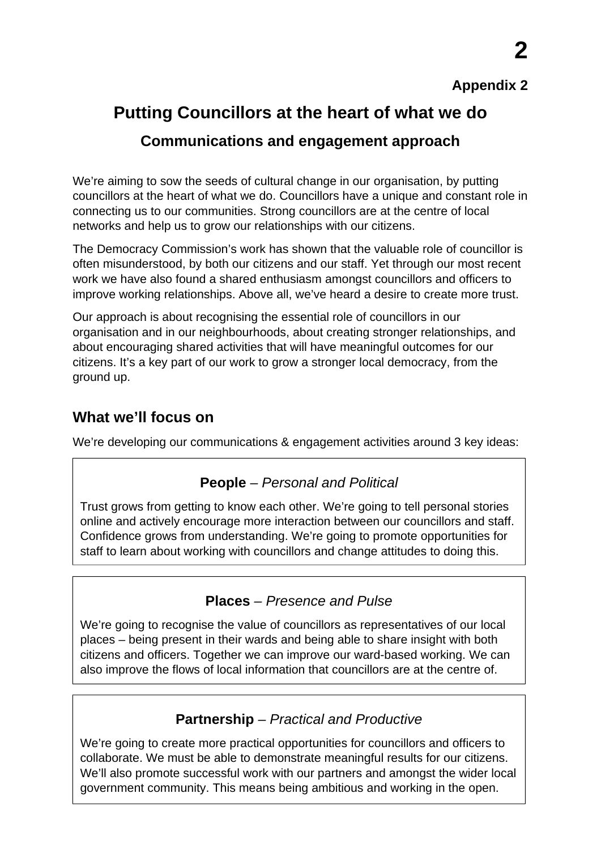### **Appendix 2**

# **Putting Councillors at the heart of what we do**

## **Communications and engagement approach**

We're aiming to sow the seeds of cultural change in our organisation, by putting councillors at the heart of what we do. Councillors have a unique and constant role in connecting us to our communities. Strong councillors are at the centre of local networks and help us to grow our relationships with our citizens.

The Democracy Commission's work has shown that the valuable role of councillor is often misunderstood, by both our citizens and our staff. Yet through our most recent work we have also found a shared enthusiasm amongst councillors and officers to improve working relationships. Above all, we've heard a desire to create more trust.

Our approach is about recognising the essential role of councillors in our organisation and in our neighbourhoods, about creating stronger relationships, and about encouraging shared activities that will have meaningful outcomes for our citizens. It's a key part of our work to grow a stronger local democracy, from the ground up.

## **What we'll focus on**

We're developing our communications & engagement activities around 3 key ideas:

## **People** *– Personal and Political*

Trust grows from getting to know each other. We're going to tell personal stories online and actively encourage more interaction between our councillors and staff. Confidence grows from understanding. We're going to promote opportunities for staff to learn about working with councillors and change attitudes to doing this.

## **Places** *– Presence and Pulse*

We're going to recognise the value of councillors as representatives of our local places – being present in their wards and being able to share insight with both citizens and officers. Together we can improve our ward-based working. We can also improve the flows of local information that councillors are at the centre of.

# **Partnership** *– Practical and Productive*

We're going to create more practical opportunities for councillors and officers to collaborate. We must be able to demonstrate meaningful results for our citizens. We'll also promote successful work with our partners and amongst the wider local government community. This means being ambitious and working in the open.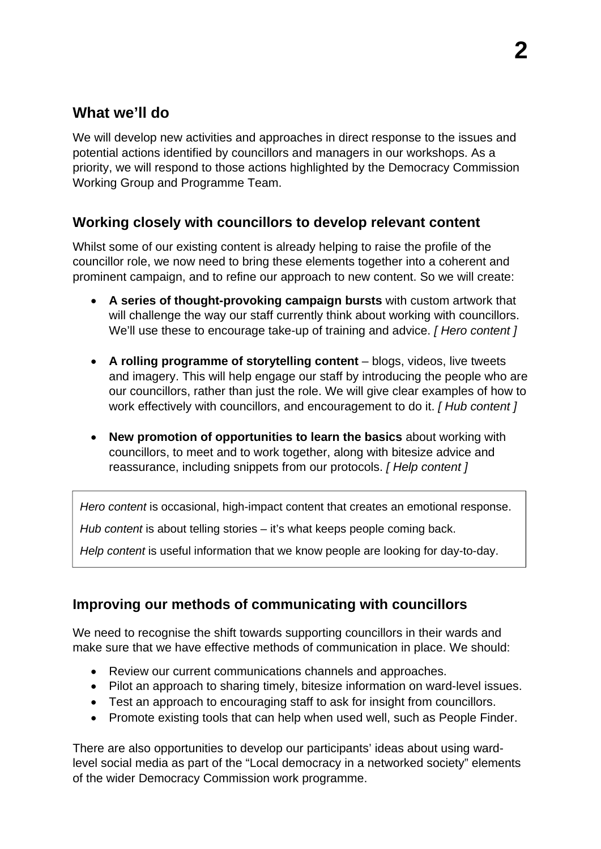# **What we'll do**

We will develop new activities and approaches in direct response to the issues and potential actions identified by councillors and managers in our workshops. As a priority, we will respond to those actions highlighted by the Democracy Commission Working Group and Programme Team.

#### **Working closely with councillors to develop relevant content**

Whilst some of our existing content is already helping to raise the profile of the councillor role, we now need to bring these elements together into a coherent and prominent campaign, and to refine our approach to new content. So we will create:

- **A series of thought-provoking campaign bursts** with custom artwork that will challenge the way our staff currently think about working with councillors. We'll use these to encourage take-up of training and advice. *[ Hero content ]*
- **A rolling programme of storytelling content** blogs, videos, live tweets and imagery. This will help engage our staff by introducing the people who are our councillors, rather than just the role. We will give clear examples of how to work effectively with councillors, and encouragement to do it. *[ Hub content ]*
- **New promotion of opportunities to learn the basics** about working with councillors, to meet and to work together, along with bitesize advice and reassurance, including snippets from our protocols. *[ Help content ]*

*Hero content* is occasional, high-impact content that creates an emotional response.

*Hub content* is about telling stories – it's what keeps people coming back.

*Help content* is useful information that we know people are looking for day-to-day.

#### **Improving our methods of communicating with councillors**

We need to recognise the shift towards supporting councillors in their wards and make sure that we have effective methods of communication in place. We should:

- Review our current communications channels and approaches.
- Pilot an approach to sharing timely, bitesize information on ward-level issues.
- Test an approach to encouraging staff to ask for insight from councillors.
- Promote existing tools that can help when used well, such as People Finder.

There are also opportunities to develop our participants' ideas about using wardlevel social media as part of the "Local democracy in a networked society" elements of the wider Democracy Commission work programme.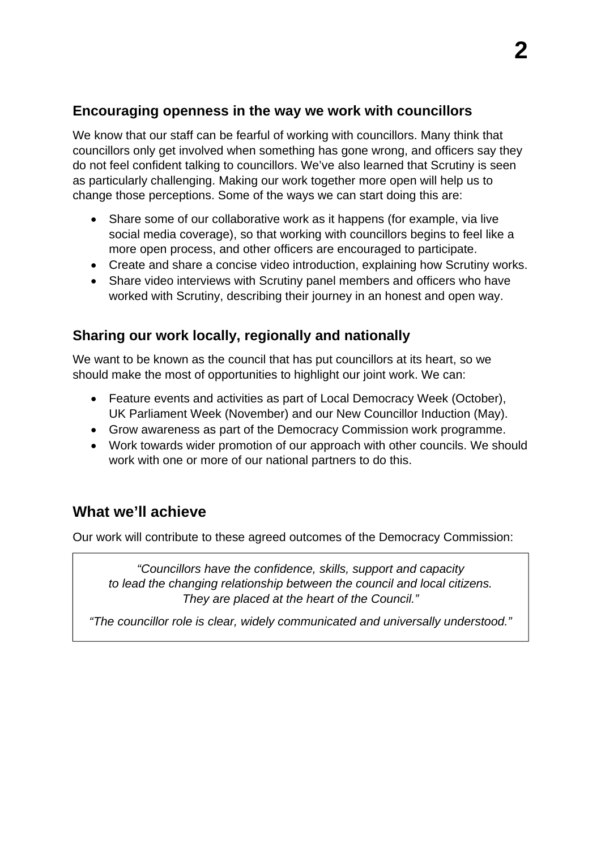### **Encouraging openness in the way we work with councillors**

We know that our staff can be fearful of working with councillors. Many think that councillors only get involved when something has gone wrong, and officers say they do not feel confident talking to councillors. We've also learned that Scrutiny is seen as particularly challenging. Making our work together more open will help us to change those perceptions. Some of the ways we can start doing this are:

- Share some of our collaborative work as it happens (for example, via live social media coverage), so that working with councillors begins to feel like a more open process, and other officers are encouraged to participate.
- Create and share a concise video introduction, explaining how Scrutiny works.
- Share video interviews with Scrutiny panel members and officers who have worked with Scrutiny, describing their journey in an honest and open way.

### **Sharing our work locally, regionally and nationally**

We want to be known as the council that has put councillors at its heart, so we should make the most of opportunities to highlight our joint work. We can:

- Feature events and activities as part of Local Democracy Week (October), UK Parliament Week (November) and our New Councillor Induction (May).
- Grow awareness as part of the Democracy Commission work programme.
- Work towards wider promotion of our approach with other councils. We should work with one or more of our national partners to do this.

# **What we'll achieve**

Our work will contribute to these agreed outcomes of the Democracy Commission:

*"Councillors have the confidence, skills, support and capacity to lead the changing relationship between the council and local citizens. They are placed at the heart of the Council."* 

*"The councillor role is clear, widely communicated and universally understood."*